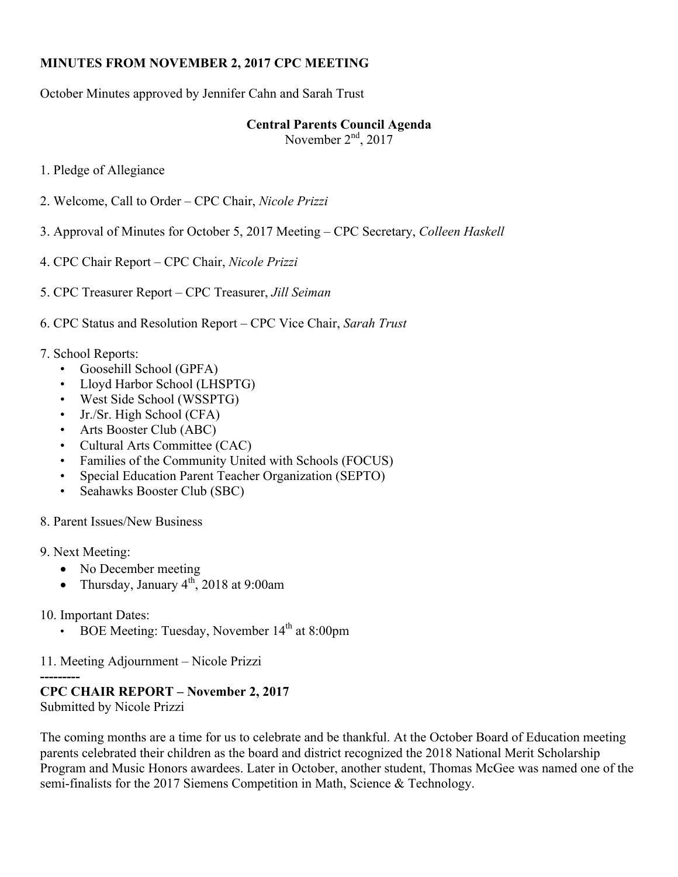#### **MINUTES FROM NOVEMBER 2, 2017 CPC MEETING**

October Minutes approved by Jennifer Cahn and Sarah Trust

## **Central Parents Council Agenda**

November  $2<sup>nd</sup>$ , 2017

1. Pledge of Allegiance

- 2. Welcome, Call to Order CPC Chair, *Nicole Prizzi*
- 3. Approval of Minutes for October 5, 2017 Meeting CPC Secretary, *Colleen Haskell*
- 4. CPC Chair Report *–* CPC Chair, *Nicole Prizzi*
- 5. CPC Treasurer Report CPC Treasurer, *Jill Seiman*
- 6. CPC Status and Resolution Report CPC Vice Chair, *Sarah Trust*

#### 7. School Reports:

- Goosehill School (GPFA)
- Lloyd Harbor School (LHSPTG)
- West Side School (WSSPTG)
- Jr./Sr. High School (CFA)
- Arts Booster Club (ABC)
- Cultural Arts Committee (CAC)
- Families of the Community United with Schools (FOCUS)
- Special Education Parent Teacher Organization (SEPTO)
- Seahawks Booster Club (SBC)
- 8. Parent Issues/New Business
- 9. Next Meeting:
	- No December meeting
	- Thursday, January  $4<sup>th</sup>$ , 2018 at 9:00am
- 10. Important Dates:
	- BOE Meeting: Tuesday, November 14th at 8:00pm

## 11. Meeting Adjournment – Nicole Prizzi

## **---------**

# **CPC CHAIR REPORT – November 2, 2017**

Submitted by Nicole Prizzi

The coming months are a time for us to celebrate and be thankful. At the October Board of Education meeting parents celebrated their children as the board and district recognized the 2018 National Merit Scholarship Program and Music Honors awardees. Later in October, another student, Thomas McGee was named one of the semi-finalists for the 2017 Siemens Competition in Math, Science & Technology.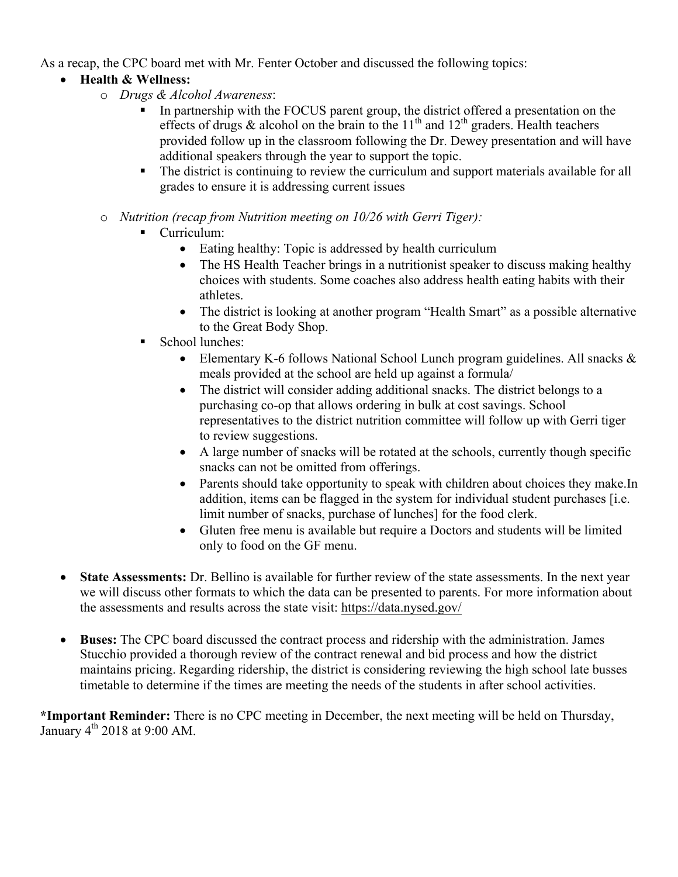As a recap, the CPC board met with Mr. Fenter October and discussed the following topics:

## • **Health & Wellness:**

- o *Drugs & Alcohol Awareness*:
	- In partnership with the FOCUS parent group, the district offered a presentation on the effects of drugs  $\&$  alcohol on the brain to the 11<sup>th</sup> and 12<sup>th</sup> graders. Health teachers provided follow up in the classroom following the Dr. Dewey presentation and will have additional speakers through the year to support the topic.
	- The district is continuing to review the curriculum and support materials available for all grades to ensure it is addressing current issues
- o *Nutrition (recap from Nutrition meeting on 10/26 with Gerri Tiger):*
	- § Curriculum:
		- Eating healthy: Topic is addressed by health curriculum
		- The HS Health Teacher brings in a nutritionist speaker to discuss making healthy choices with students. Some coaches also address health eating habits with their athletes.
		- The district is looking at another program "Health Smart" as a possible alternative to the Great Body Shop.
	- § School lunches:
		- Elementary K-6 follows National School Lunch program guidelines. All snacks & meals provided at the school are held up against a formula/
		- The district will consider adding additional snacks. The district belongs to a purchasing co-op that allows ordering in bulk at cost savings. School representatives to the district nutrition committee will follow up with Gerri tiger to review suggestions.
		- A large number of snacks will be rotated at the schools, currently though specific snacks can not be omitted from offerings.
		- Parents should take opportunity to speak with children about choices they make. In addition, items can be flagged in the system for individual student purchases [i.e. limit number of snacks, purchase of lunches] for the food clerk.
		- Gluten free menu is available but require a Doctors and students will be limited only to food on the GF menu.
- **State Assessments:** Dr. Bellino is available for further review of the state assessments. In the next year we will discuss other formats to which the data can be presented to parents. For more information about the assessments and results across the state visit: https://data.nysed.gov/
- **Buses:** The CPC board discussed the contract process and ridership with the administration. James Stucchio provided a thorough review of the contract renewal and bid process and how the district maintains pricing. Regarding ridership, the district is considering reviewing the high school late busses timetable to determine if the times are meeting the needs of the students in after school activities.

**\*Important Reminder:** There is no CPC meeting in December, the next meeting will be held on Thursday, January  $4<sup>th</sup>$  2018 at 9:00 AM.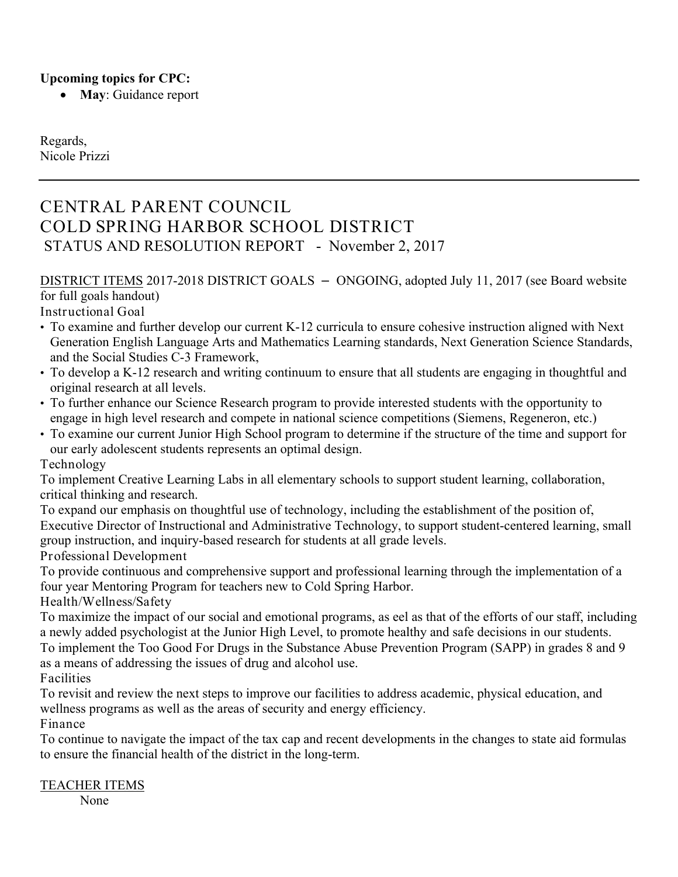#### **Upcoming topics for CPC:**

• **May**: Guidance report

Regards, Nicole Prizzi

# CENTRAL PARENT COUNCIL COLD SPRING HARBOR SCHOOL DISTRICT STATUS AND RESOLUTION REPORT - November 2, 2017

DISTRICT ITEMS 2017-2018 DISTRICT GOALS – ONGOING, adopted July 11, 2017 (see Board website for full goals handout)

Instructional Goal

- To examine and further develop our current K-12 curricula to ensure cohesive instruction aligned with Next Generation English Language Arts and Mathematics Learning standards, Next Generation Science Standards, and the Social Studies C-3 Framework,
- To develop a K-12 research and writing continuum to ensure that all students are engaging in thoughtful and original research at all levels.
- To further enhance our Science Research program to provide interested students with the opportunity to engage in high level research and compete in national science competitions (Siemens, Regeneron, etc.)
- To examine our current Junior High School program to determine if the structure of the time and support for our early adolescent students represents an optimal design.

Technology

To implement Creative Learning Labs in all elementary schools to support student learning, collaboration, critical thinking and research.

To expand our emphasis on thoughtful use of technology, including the establishment of the position of, Executive Director of Instructional and Administrative Technology, to support student-centered learning, small group instruction, and inquiry-based research for students at all grade levels.

Professional Development

To provide continuous and comprehensive support and professional learning through the implementation of a four year Mentoring Program for teachers new to Cold Spring Harbor.

Health/Wellness/Safety

To maximize the impact of our social and emotional programs, as eel as that of the efforts of our staff, including a newly added psychologist at the Junior High Level, to promote healthy and safe decisions in our students. To implement the Too Good For Drugs in the Substance Abuse Prevention Program (SAPP) in grades 8 and 9 as a means of addressing the issues of drug and alcohol use.

Facilities

To revisit and review the next steps to improve our facilities to address academic, physical education, and wellness programs as well as the areas of security and energy efficiency.

Finance

To continue to navigate the impact of the tax cap and recent developments in the changes to state aid formulas to ensure the financial health of the district in the long-term.

#### TEACHER ITEMS

None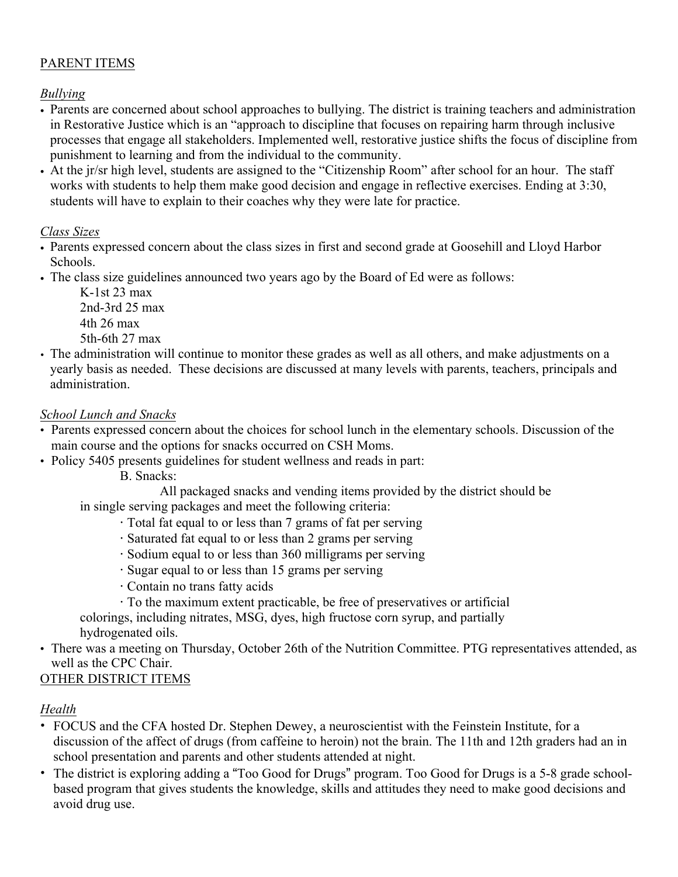## PARENT ITEMS

#### *Bullying*

- Parents are concerned about school approaches to bullying. The district is training teachers and administration in Restorative Justice which is an "approach to discipline that focuses on repairing harm through inclusive processes that engage all stakeholders. Implemented well, restorative justice shifts the focus of discipline from punishment to learning and from the individual to the community.
- At the jr/sr high level, students are assigned to the "Citizenship Room" after school for an hour. The staff works with students to help them make good decision and engage in reflective exercises. Ending at 3:30, students will have to explain to their coaches why they were late for practice.

#### *Class Sizes*

- Parents expressed concern about the class sizes in first and second grade at Goosehill and Lloyd Harbor Schools.
- The class size guidelines announced two years ago by the Board of Ed were as follows:

K-1st 23 max 2nd-3rd 25 max 4th 26 max 5th-6th 27 max

• The administration will continue to monitor these grades as well as all others, and make adjustments on a yearly basis as needed. These decisions are discussed at many levels with parents, teachers, principals and administration.

#### *School Lunch and Snacks*

- Parents expressed concern about the choices for school lunch in the elementary schools. Discussion of the main course and the options for snacks occurred on CSH Moms.
- Policy 5405 presents guidelines for student wellness and reads in part:

B. Snacks:

All packaged snacks and vending items provided by the district should be

in single serving packages and meet the following criteria:

- · Total fat equal to or less than 7 grams of fat per serving
- · Saturated fat equal to or less than 2 grams per serving
- · Sodium equal to or less than 360 milligrams per serving
- · Sugar equal to or less than 15 grams per serving
- · Contain no trans fatty acids
- · To the maximum extent practicable, be free of preservatives or artificial
- colorings, including nitrates, MSG, dyes, high fructose corn syrup, and partially hydrogenated oils.
- There was a meeting on Thursday, October 26th of the Nutrition Committee. PTG representatives attended, as well as the CPC Chair.

## OTHER DISTRICT ITEMS

## *Health*

- FOCUS and the CFA hosted Dr. Stephen Dewey, a neuroscientist with the Feinstein Institute, for a discussion of the affect of drugs (from caffeine to heroin) not the brain. The 11th and 12th graders had an in school presentation and parents and other students attended at night.
- The district is exploring adding a "Too Good for Drugs" program. Too Good for Drugs is a 5-8 grade schoolbased program that gives students the knowledge, skills and attitudes they need to make good decisions and avoid drug use.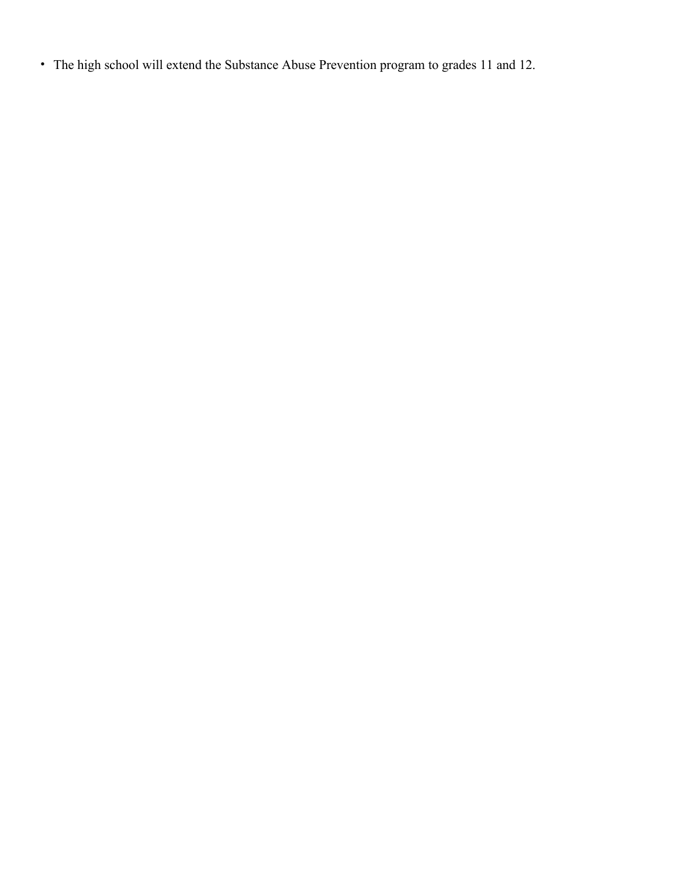• The high school will extend the Substance Abuse Prevention program to grades 11 and 12.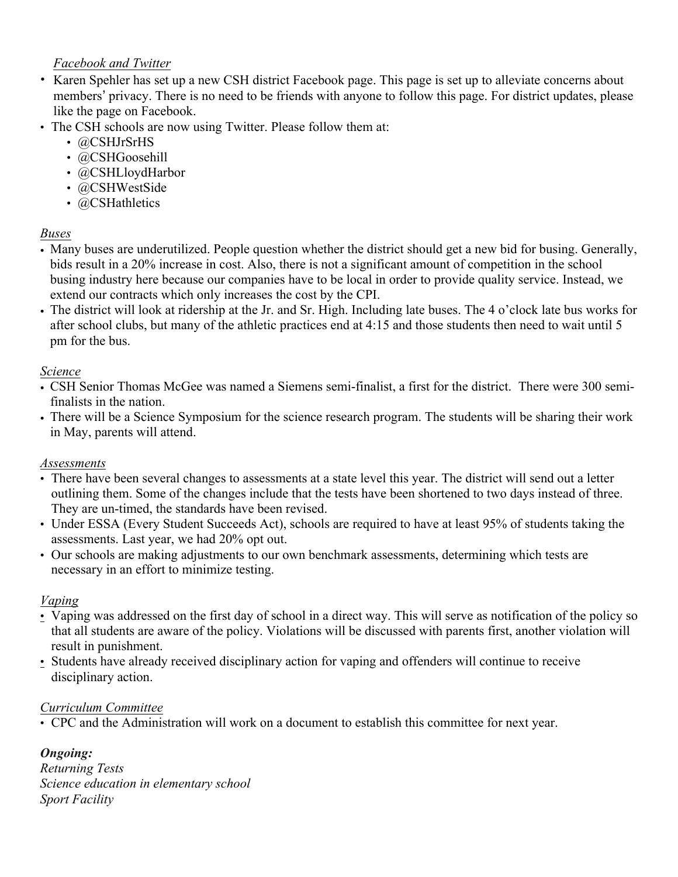#### *Facebook and Twitter*

- Karen Spehler has set up a new CSH district Facebook page. This page is set up to alleviate concerns about members' privacy. There is no need to be friends with anyone to follow this page. For district updates, please like the page on Facebook.
- The CSH schools are now using Twitter. Please follow them at:
	- @CSHJrSrHS
	- @CSHGoosehill
	- @CSHLloydHarbor
	- @CSHWestSide
	- @CSHathletics

#### *Buses*

- Many buses are underutilized. People question whether the district should get a new bid for busing. Generally, bids result in a 20% increase in cost. Also, there is not a significant amount of competition in the school busing industry here because our companies have to be local in order to provide quality service. Instead, we extend our contracts which only increases the cost by the CPI.
- The district will look at ridership at the Jr. and Sr. High. Including late buses. The 4 o'clock late bus works for after school clubs, but many of the athletic practices end at 4:15 and those students then need to wait until 5 pm for the bus.

#### *Science*

- CSH Senior Thomas McGee was named a Siemens semi-finalist, a first for the district. There were 300 semifinalists in the nation.
- There will be a Science Symposium for the science research program. The students will be sharing their work in May, parents will attend.

#### *Assessments*

- There have been several changes to assessments at a state level this year. The district will send out a letter outlining them. Some of the changes include that the tests have been shortened to two days instead of three. They are un-timed, the standards have been revised.
- Under ESSA (Every Student Succeeds Act), schools are required to have at least 95% of students taking the assessments. Last year, we had 20% opt out.
- Our schools are making adjustments to our own benchmark assessments, determining which tests are necessary in an effort to minimize testing.

## *Vaping*

- Vaping was addressed on the first day of school in a direct way. This will serve as notification of the policy so that all students are aware of the policy. Violations will be discussed with parents first, another violation will result in punishment.
- Students have already received disciplinary action for vaping and offenders will continue to receive disciplinary action.

#### *Curriculum Committee*

• CPC and the Administration will work on a document to establish this committee for next year.

## *Ongoing:*

*Returning Tests Science education in elementary school Sport Facility*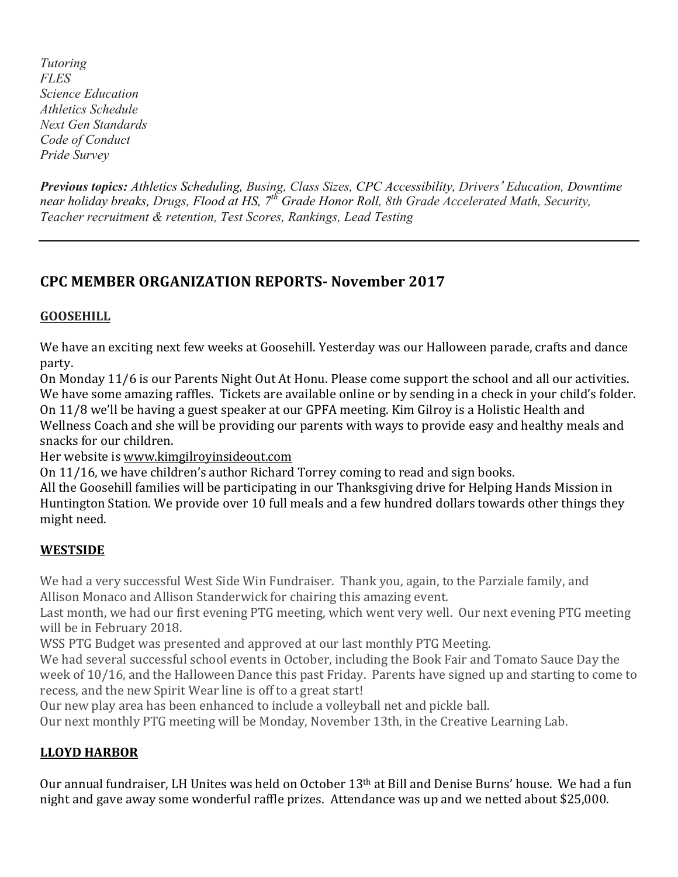*Tutoring FLES Science Education Athletics Schedule Next Gen Standards Code of Conduct Pride Survey*

*Previous topics: Athletics Scheduling, Busing, Class Sizes, CPC Accessibility, Drivers' Education, Downtime near holiday breaks, Drugs, Flood at HS, 7th Grade Honor Roll, 8th Grade Accelerated Math, Security, Teacher recruitment & retention, Test Scores, Rankings, Lead Testing*

# **CPC MEMBER ORGANIZATION REPORTS- November 2017**

## **GOOSEHILL**

We have an exciting next few weeks at Goosehill. Yesterday was our Halloween parade, crafts and dance party.

On Monday 11/6 is our Parents Night Out At Honu. Please come support the school and all our activities. We have some amazing raffles. Tickets are available online or by sending in a check in your child's folder. On 11/8 we'll be having a guest speaker at our GPFA meeting. Kim Gilroy is a Holistic Health and Wellness Coach and she will be providing our parents with ways to provide easy and healthy meals and snacks for our children.

Her website is www.kimgilroyinsideout.com

On 11/16, we have children's author Richard Torrey coming to read and sign books.

All the Goosehill families will be participating in our Thanksgiving drive for Helping Hands Mission in Huntington Station. We provide over 10 full meals and a few hundred dollars towards other things they might need.

## **WESTSIDE**

We had a very successful West Side Win Fundraiser. Thank you, again, to the Parziale family, and Allison Monaco and Allison Standerwick for chairing this amazing event.

Last month, we had our first evening PTG meeting, which went very well. Our next evening PTG meeting will be in February 2018.

WSS PTG Budget was presented and approved at our last monthly PTG Meeting.

We had several successful school events in October, including the Book Fair and Tomato Sauce Day the week of 10/16, and the Halloween Dance this past Friday. Parents have signed up and starting to come to recess, and the new Spirit Wear line is off to a great start!

Our new play area has been enhanced to include a volleyball net and pickle ball.

Our next monthly PTG meeting will be Monday, November 13th, in the Creative Learning Lab.

## **LLOYD HARBOR**

Our annual fundraiser, LH Unites was held on October 13<sup>th</sup> at Bill and Denise Burns' house. We had a fun night and gave away some wonderful raffle prizes. Attendance was up and we netted about \$25,000.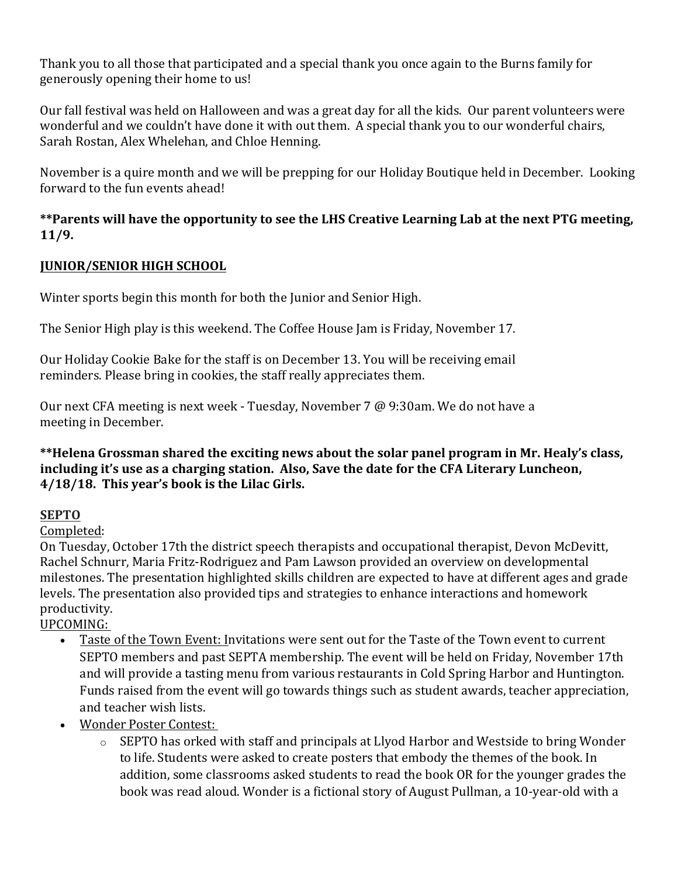Thank you to all those that participated and a special thank you once again to the Burns family for generously opening their home to us!

Our fall festival was held on Halloween and was a great day for all the kids. Our parent volunteers were wonderful and we couldn't have done it with out them. A special thank you to our wonderful chairs, Sarah Rostan, Alex Whelehan, and Chloe Henning.

November is a quire month and we will be prepping for our Holiday Boutique held in December. Looking forward to the fun events ahead!

## **\*\*Parents will have the opportunity to see the LHS Creative Learning Lab at the next PTG meeting, 11/9.**

## **JUNIOR/SENIOR HIGH SCHOOL**

Winter sports begin this month for both the Junior and Senior High.

The Senior High play is this weekend. The Coffee House Jam is Friday, November 17.

Our Holiday Cookie Bake for the staff is on December 13. You will be receiving email reminders. Please bring in cookies, the staff really appreciates them.

Our next CFA meeting is next week - Tuesday, November 7 @ 9:30am. We do not have a meeting in December.

#### **\*\*Helena Grossman shared the exciting news about the solar panel program in Mr. Healy's class, including it's use as a charging station. Also, Save the date for the CFA Literary Luncheon, 4/18/18. This year's book is the Lilac Girls.**

## **SEPTO**

## Completed:

On Tuesday, October 17th the district speech therapists and occupational therapist, Devon McDevitt, Rachel Schnurr, Maria Fritz-Rodriguez and Pam Lawson provided an overview on developmental milestones. The presentation highlighted skills children are expected to have at different ages and grade levels. The presentation also provided tips and strategies to enhance interactions and homework productivity.

UPCOMING:

- Taste of the Town Event: Invitations were sent out for the Taste of the Town event to current SEPTO members and past SEPTA membership. The event will be held on Friday, November 17th and will provide a tasting menu from various restaurants in Cold Spring Harbor and Huntington. Funds raised from the event will go towards things such as student awards, teacher appreciation, and teacher wish lists.
- Wonder Poster Contest:
	- o SEPTO has orked with staff and principals at Llyod Harbor and Westside to bring Wonder to life. Students were asked to create posters that embody the themes of the book. In addition, some classrooms asked students to read the book OR for the younger grades the book was read aloud. Wonder is a fictional story of August Pullman, a 10-year-old with a